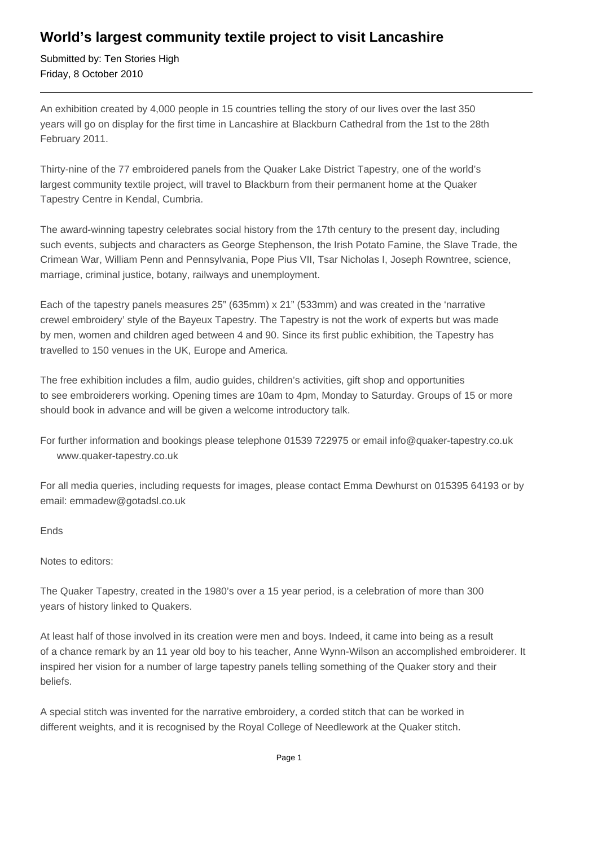## **World's largest community textile project to visit Lancashire**

Submitted by: Ten Stories High Friday, 8 October 2010

An exhibition created by 4,000 people in 15 countries telling the story of our lives over the last 350 years will go on display for the first time in Lancashire at Blackburn Cathedral from the 1st to the 28th February 2011.

Thirty-nine of the 77 embroidered panels from the Quaker Lake District Tapestry, one of the world's largest community textile project, will travel to Blackburn from their permanent home at the Quaker Tapestry Centre in Kendal, Cumbria.

The award-winning tapestry celebrates social history from the 17th century to the present day, including such events, subjects and characters as George Stephenson, the Irish Potato Famine, the Slave Trade, the Crimean War, William Penn and Pennsylvania, Pope Pius VII, Tsar Nicholas I, Joseph Rowntree, science, marriage, criminal justice, botany, railways and unemployment.

Each of the tapestry panels measures 25" (635mm) x 21" (533mm) and was created in the 'narrative crewel embroidery' style of the Bayeux Tapestry. The Tapestry is not the work of experts but was made by men, women and children aged between 4 and 90. Since its first public exhibition, the Tapestry has travelled to 150 venues in the UK, Europe and America.

The free exhibition includes a film, audio guides, children's activities, gift shop and opportunities to see embroiderers working. Opening times are 10am to 4pm, Monday to Saturday. Groups of 15 or more should book in advance and will be given a welcome introductory talk.

For further information and bookings please telephone 01539 722975 or email info@quaker-tapestry.co.uk www.quaker-tapestry.co.uk

For all media queries, including requests for images, please contact Emma Dewhurst on 015395 64193 or by email: emmadew@gotadsl.co.uk

Ends

Notes to editors:

The Quaker Tapestry, created in the 1980's over a 15 year period, is a celebration of more than 300 years of history linked to Quakers.

At least half of those involved in its creation were men and boys. Indeed, it came into being as a result of a chance remark by an 11 year old boy to his teacher, Anne Wynn-Wilson an accomplished embroiderer. It inspired her vision for a number of large tapestry panels telling something of the Quaker story and their beliefs.

A special stitch was invented for the narrative embroidery, a corded stitch that can be worked in different weights, and it is recognised by the Royal College of Needlework at the Quaker stitch.